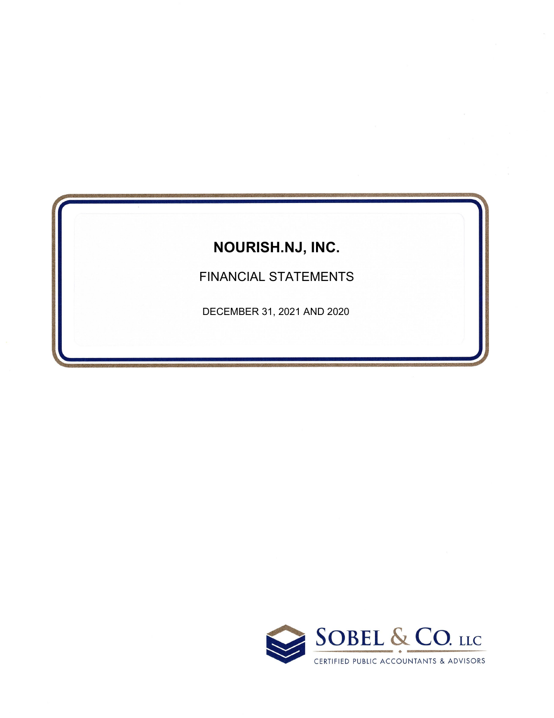# **NOURISH.NJ, INC.**

FINANCIAL STATEMENTS

DECEMBER 31, 2021 AND 2020

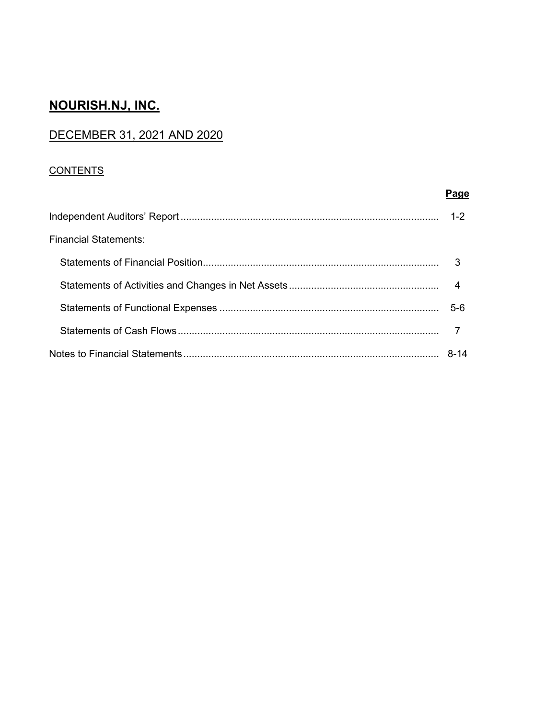# **NOURISH.NJ, INC.**

# DECEMBER 31, 2021 AND 2020

# **CONTENTS**

|                              | Page           |
|------------------------------|----------------|
|                              | $1 - 2$        |
| <b>Financial Statements:</b> |                |
|                              | 3              |
|                              | $\overline{4}$ |
|                              | 5-6            |
|                              | 7              |
|                              | $8-14$         |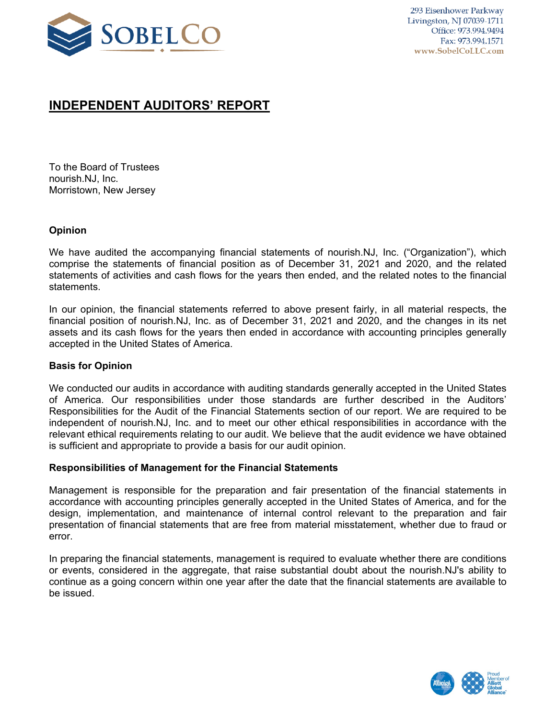

293 Eisenhower Parkway Livingston, NJ 07039-1711 Office: 973.994.9494 Fax: 973.994.1571 www.SobelCoLLC.com

# **INDEPENDENT AUDITORS' REPORT**

To the Board of Trustees nourish.NJ, Inc. Morristown, New Jersey

#### **Opinion**

We have audited the accompanying financial statements of nourish.NJ, Inc. ("Organization"), which comprise the statements of financial position as of December 31, 2021 and 2020, and the related statements of activities and cash flows for the years then ended, and the related notes to the financial statements.

In our opinion, the financial statements referred to above present fairly, in all material respects, the financial position of nourish.NJ, Inc. as of December 31, 2021 and 2020, and the changes in its net assets and its cash flows for the years then ended in accordance with accounting principles generally accepted in the United States of America.

#### **Basis for Opinion**

We conducted our audits in accordance with auditing standards generally accepted in the United States of America. Our responsibilities under those standards are further described in the Auditors' Responsibilities for the Audit of the Financial Statements section of our report. We are required to be independent of nourish.NJ, Inc. and to meet our other ethical responsibilities in accordance with the relevant ethical requirements relating to our audit. We believe that the audit evidence we have obtained is sufficient and appropriate to provide a basis for our audit opinion.

#### **Responsibilities of Management for the Financial Statements**

Management is responsible for the preparation and fair presentation of the financial statements in accordance with accounting principles generally accepted in the United States of America, and for the design, implementation, and maintenance of internal control relevant to the preparation and fair presentation of financial statements that are free from material misstatement, whether due to fraud or error.

In preparing the financial statements, management is required to evaluate whether there are conditions or events, considered in the aggregate, that raise substantial doubt about the nourish.NJ's ability to continue as a going concern within one year after the date that the financial statements are available to be issued.

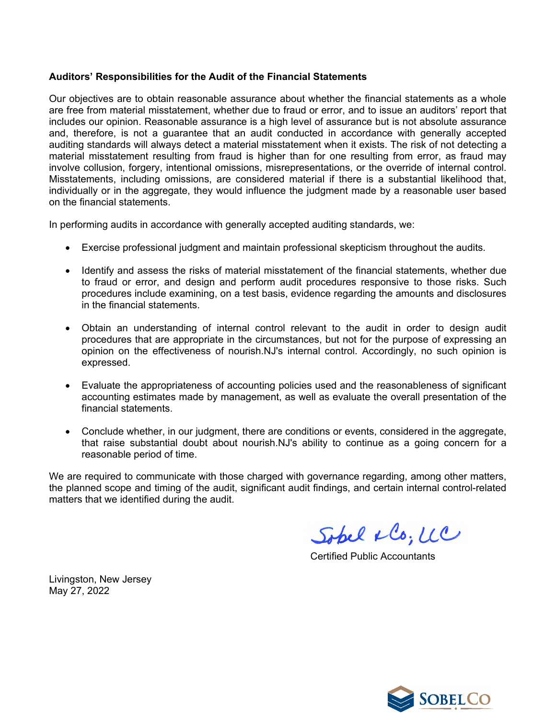### **Auditors' Responsibilities for the Audit of the Financial Statements**

Our objectives are to obtain reasonable assurance about whether the financial statements as a whole are free from material misstatement, whether due to fraud or error, and to issue an auditors' report that includes our opinion. Reasonable assurance is a high level of assurance but is not absolute assurance and, therefore, is not a guarantee that an audit conducted in accordance with generally accepted auditing standards will always detect a material misstatement when it exists. The risk of not detecting a material misstatement resulting from fraud is higher than for one resulting from error, as fraud may involve collusion, forgery, intentional omissions, misrepresentations, or the override of internal control. Misstatements, including omissions, are considered material if there is a substantial likelihood that, individually or in the aggregate, they would influence the judgment made by a reasonable user based on the financial statements.

In performing audits in accordance with generally accepted auditing standards, we:

- Exercise professional judgment and maintain professional skepticism throughout the audits.
- Identify and assess the risks of material misstatement of the financial statements, whether due to fraud or error, and design and perform audit procedures responsive to those risks. Such procedures include examining, on a test basis, evidence regarding the amounts and disclosures in the financial statements.
- Obtain an understanding of internal control relevant to the audit in order to design audit procedures that are appropriate in the circumstances, but not for the purpose of expressing an opinion on the effectiveness of nourish.NJ's internal control. Accordingly, no such opinion is expressed.
- Evaluate the appropriateness of accounting policies used and the reasonableness of significant accounting estimates made by management, as well as evaluate the overall presentation of the financial statements.
- Conclude whether, in our judgment, there are conditions or events, considered in the aggregate, that raise substantial doubt about nourish.NJ's ability to continue as a going concern for a reasonable period of time.

We are required to communicate with those charged with governance regarding, among other matters, the planned scope and timing of the audit, significant audit findings, and certain internal control-related matters that we identified during the audit.

Sopel & Co; UC

Certified Public Accountants

Livingston, New Jersey May 27, 2022

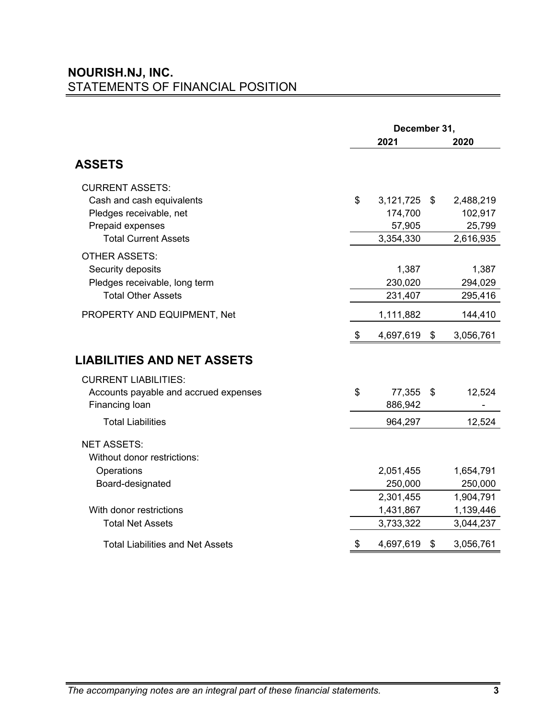# **NOURISH.NJ, INC.**  STATEMENTS OF FINANCIAL POSITION

|                                                                                                                                   | December 31,                                      |      |                                             |  |
|-----------------------------------------------------------------------------------------------------------------------------------|---------------------------------------------------|------|---------------------------------------------|--|
|                                                                                                                                   | 2021                                              |      | 2020                                        |  |
| <b>ASSETS</b>                                                                                                                     |                                                   |      |                                             |  |
| <b>CURRENT ASSETS:</b><br>Cash and cash equivalents<br>Pledges receivable, net<br>Prepaid expenses<br><b>Total Current Assets</b> | \$<br>3,121,725<br>174,700<br>57,905<br>3,354,330 | \$   | 2,488,219<br>102,917<br>25,799<br>2,616,935 |  |
| <b>OTHER ASSETS:</b><br>Security deposits<br>Pledges receivable, long term<br><b>Total Other Assets</b>                           | 1,387<br>230,020<br>231,407                       |      | 1,387<br>294,029<br>295,416                 |  |
| PROPERTY AND EQUIPMENT, Net                                                                                                       | 1,111,882                                         |      | 144,410                                     |  |
|                                                                                                                                   | \$<br>4,697,619                                   | \$   | 3,056,761                                   |  |
| <b>LIABILITIES AND NET ASSETS</b>                                                                                                 |                                                   |      |                                             |  |
| <b>CURRENT LIABILITIES:</b><br>Accounts payable and accrued expenses<br>Financing loan<br><b>Total Liabilities</b>                | \$<br>77,355<br>886,942<br>964,297                | - \$ | 12,524<br>12,524                            |  |
| <b>NET ASSETS:</b><br>Without donor restrictions:<br>Operations                                                                   | 2,051,455                                         |      | 1,654,791                                   |  |
| Board-designated                                                                                                                  | 250,000<br>2,301,455                              |      | 250,000<br>1,904,791                        |  |
| With donor restrictions<br><b>Total Net Assets</b>                                                                                | 1,431,867<br>3,733,322                            |      | 1,139,446<br>3,044,237                      |  |
| <b>Total Liabilities and Net Assets</b>                                                                                           | \$<br>4,697,619                                   | \$   | 3,056,761                                   |  |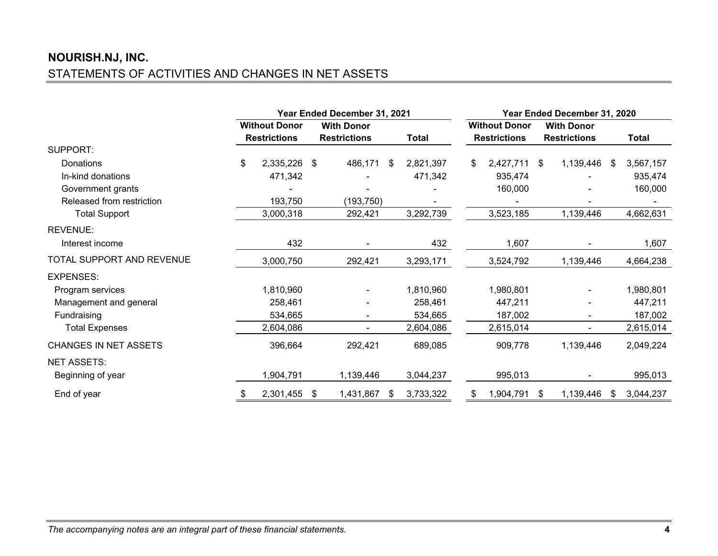# **NOURISH.NJ, INC.**  STATEMENTS OF ACTIVITIES AND CHANGES IN NET ASSETS

|                              | Year Ended December 31, 2021 |    |                     |    |              | Year Ended December 31, 2020 |                      |     |                     |     |              |
|------------------------------|------------------------------|----|---------------------|----|--------------|------------------------------|----------------------|-----|---------------------|-----|--------------|
|                              | <b>Without Donor</b>         |    | <b>With Donor</b>   |    |              |                              | <b>Without Donor</b> |     | <b>With Donor</b>   |     |              |
|                              | <b>Restrictions</b>          |    | <b>Restrictions</b> |    | <b>Total</b> |                              | <b>Restrictions</b>  |     | <b>Restrictions</b> |     | <b>Total</b> |
| SUPPORT:                     |                              |    |                     |    |              |                              |                      |     |                     |     |              |
| Donations                    | \$<br>2,335,226              | \$ | 486,171             | S. | 2,821,397    | \$                           | 2,427,711            | -\$ | 1,139,446           | -S  | 3,567,157    |
| In-kind donations            | 471,342                      |    |                     |    | 471,342      |                              | 935,474              |     |                     |     | 935,474      |
| Government grants            |                              |    |                     |    |              |                              | 160,000              |     |                     |     | 160,000      |
| Released from restriction    | 193,750                      |    | (193, 750)          |    |              |                              |                      |     |                     |     |              |
| <b>Total Support</b>         | 3,000,318                    |    | 292,421             |    | 3,292,739    |                              | 3,523,185            |     | 1,139,446           |     | 4,662,631    |
| <b>REVENUE:</b>              |                              |    |                     |    |              |                              |                      |     |                     |     |              |
| Interest income              | 432                          |    |                     |    | 432          |                              | 1,607                |     |                     |     | 1,607        |
| TOTAL SUPPORT AND REVENUE    | 3,000,750                    |    | 292,421             |    | 3,293,171    |                              | 3,524,792            |     | 1,139,446           |     | 4,664,238    |
| <b>EXPENSES:</b>             |                              |    |                     |    |              |                              |                      |     |                     |     |              |
| Program services             | 1,810,960                    |    |                     |    | 1,810,960    |                              | 1,980,801            |     |                     |     | 1,980,801    |
| Management and general       | 258,461                      |    |                     |    | 258,461      |                              | 447,211              |     |                     |     | 447,211      |
| Fundraising                  | 534,665                      |    |                     |    | 534,665      |                              | 187,002              |     |                     |     | 187,002      |
| <b>Total Expenses</b>        | 2,604,086                    |    |                     |    | 2,604,086    |                              | 2,615,014            |     |                     |     | 2,615,014    |
| <b>CHANGES IN NET ASSETS</b> | 396,664                      |    | 292,421             |    | 689,085      |                              | 909,778              |     | 1,139,446           |     | 2,049,224    |
| <b>NET ASSETS:</b>           |                              |    |                     |    |              |                              |                      |     |                     |     |              |
| Beginning of year            | 1,904,791                    |    | 1,139,446           |    | 3,044,237    |                              | 995,013              |     |                     |     | 995,013      |
| End of year                  | 2,301,455                    | \$ | 1,431,867           | \$ | 3,733,322    | \$                           | 1,904,791            | \$  | 1,139,446           | -\$ | 3,044,237    |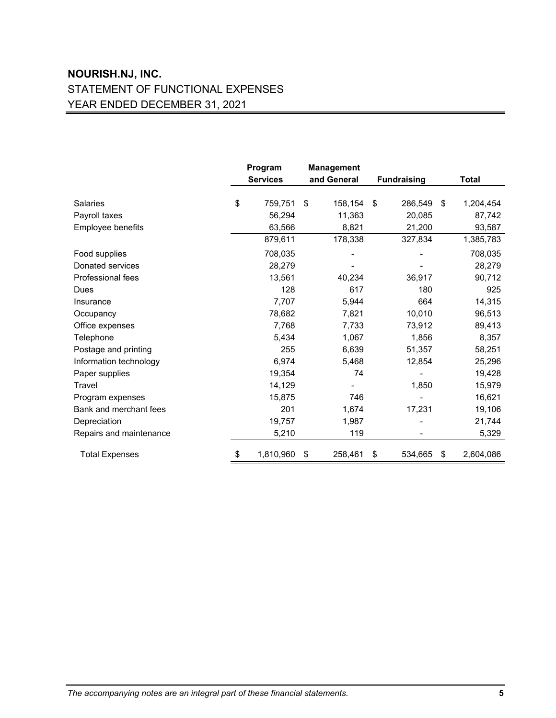# **NOURISH.NJ, INC.**  STATEMENT OF FUNCTIONAL EXPENSES YEAR ENDED DECEMBER 31, 2021

|                         | Program<br><b>Management</b> |                 |               |                    |                 |
|-------------------------|------------------------------|-----------------|---------------|--------------------|-----------------|
|                         |                              | <b>Services</b> | and General   | <b>Fundraising</b> | <b>Total</b>    |
|                         |                              |                 |               |                    |                 |
| <b>Salaries</b>         | \$                           | 759,751         | \$<br>158,154 | \$<br>286,549      | \$<br>1,204,454 |
| Payroll taxes           |                              | 56,294          | 11,363        | 20,085             | 87,742          |
| Employee benefits       |                              | 63,566          | 8,821         | 21,200             | 93,587          |
|                         |                              | 879,611         | 178,338       | 327,834            | 1,385,783       |
| Food supplies           |                              | 708,035         |               |                    | 708,035         |
| Donated services        |                              | 28,279          |               |                    | 28,279          |
| Professional fees       |                              | 13,561          | 40,234        | 36,917             | 90,712          |
| Dues                    |                              | 128             | 617           | 180                | 925             |
| Insurance               |                              | 7,707           | 5,944         | 664                | 14,315          |
| Occupancy               |                              | 78,682          | 7,821         | 10,010             | 96,513          |
| Office expenses         |                              | 7,768           | 7,733         | 73,912             | 89,413          |
| Telephone               |                              | 5,434           | 1,067         | 1,856              | 8,357           |
| Postage and printing    |                              | 255             | 6,639         | 51,357             | 58,251          |
| Information technology  |                              | 6,974           | 5,468         | 12,854             | 25,296          |
| Paper supplies          |                              | 19,354          | 74            |                    | 19,428          |
| Travel                  |                              | 14,129          |               | 1,850              | 15,979          |
| Program expenses        |                              | 15,875          | 746           |                    | 16,621          |
| Bank and merchant fees  |                              | 201             | 1,674         | 17,231             | 19,106          |
| Depreciation            |                              | 19,757          | 1,987         |                    | 21,744          |
| Repairs and maintenance |                              | 5,210           | 119           |                    | 5,329           |
| <b>Total Expenses</b>   | \$                           | 1,810,960       | \$<br>258,461 | \$<br>534,665      | \$<br>2,604,086 |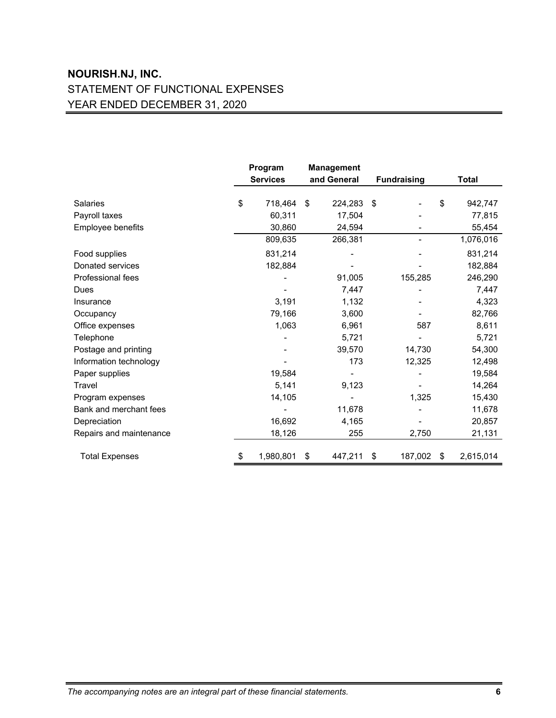# **NOURISH.NJ, INC.**  STATEMENT OF FUNCTIONAL EXPENSES YEAR ENDED DECEMBER 31, 2020

|                         | Program<br><b>Management</b> |                 |               |                     |              |
|-------------------------|------------------------------|-----------------|---------------|---------------------|--------------|
|                         |                              | <b>Services</b> | and General   | <b>Fundraising</b>  | <b>Total</b> |
|                         |                              |                 |               |                     |              |
| <b>Salaries</b>         | \$                           | 718,464         | \$<br>224,283 | \$<br>\$            | 942,747      |
| Payroll taxes           |                              | 60,311          | 17,504        |                     | 77,815       |
| Employee benefits       |                              | 30,860          | 24,594        |                     | 55,454       |
|                         |                              | 809,635         | 266,381       |                     | 1,076,016    |
| Food supplies           |                              | 831,214         |               |                     | 831,214      |
| Donated services        |                              | 182,884         |               |                     | 182,884      |
| Professional fees       |                              |                 | 91,005        | 155,285             | 246,290      |
| Dues                    |                              |                 | 7,447         |                     | 7,447        |
| Insurance               |                              | 3,191           | 1,132         |                     | 4,323        |
| Occupancy               |                              | 79,166          | 3,600         |                     | 82,766       |
| Office expenses         |                              | 1,063           | 6,961         | 587                 | 8,611        |
| Telephone               |                              |                 | 5,721         |                     | 5,721        |
| Postage and printing    |                              |                 | 39,570        | 14,730              | 54,300       |
| Information technology  |                              |                 | 173           | 12,325              | 12,498       |
| Paper supplies          |                              | 19,584          |               |                     | 19,584       |
| Travel                  |                              | 5,141           | 9,123         |                     | 14,264       |
| Program expenses        |                              | 14,105          |               | 1,325               | 15,430       |
| Bank and merchant fees  |                              |                 | 11,678        |                     | 11,678       |
| Depreciation            |                              | 16,692          | 4,165         |                     | 20,857       |
| Repairs and maintenance |                              | 18,126          | 255           | 2,750               | 21,131       |
| <b>Total Expenses</b>   | S                            | 1,980,801       | \$<br>447,211 | \$<br>187,002<br>\$ | 2,615,014    |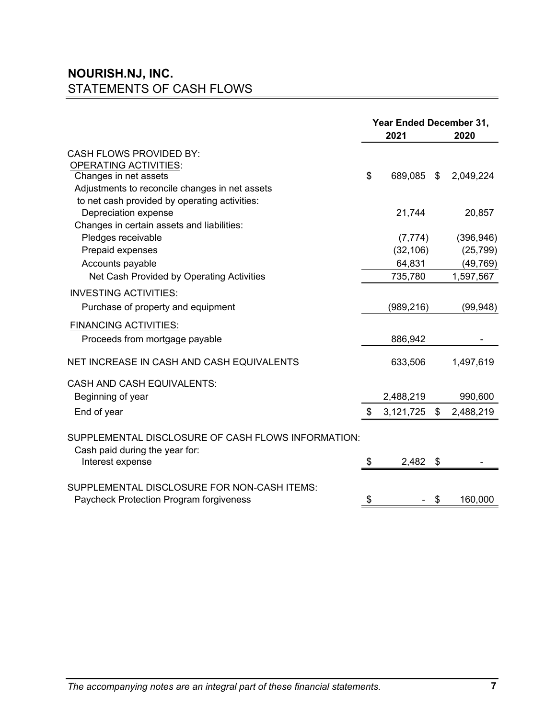# **NOURISH.NJ, INC.**  STATEMENTS OF CASH FLOWS

|                                                                                      |                       | Year Ended December 31,<br>2021 | 2020            |
|--------------------------------------------------------------------------------------|-----------------------|---------------------------------|-----------------|
| CASH FLOWS PROVIDED BY:                                                              |                       |                                 |                 |
| <b>OPERATING ACTIVITIES:</b>                                                         |                       |                                 |                 |
| Changes in net assets                                                                | \$                    | 689,085 \$                      | 2,049,224       |
| Adjustments to reconcile changes in net assets                                       |                       |                                 |                 |
| to net cash provided by operating activities:                                        |                       |                                 |                 |
| Depreciation expense                                                                 |                       | 21,744                          | 20,857          |
| Changes in certain assets and liabilities:                                           |                       |                                 |                 |
| Pledges receivable                                                                   |                       | (7, 774)                        | (396, 946)      |
| Prepaid expenses                                                                     |                       | (32, 106)                       | (25, 799)       |
| Accounts payable                                                                     |                       | 64,831                          | (49, 769)       |
| Net Cash Provided by Operating Activities                                            |                       | 735,780                         | 1,597,567       |
| <b>INVESTING ACTIVITIES:</b>                                                         |                       |                                 |                 |
| Purchase of property and equipment                                                   |                       | (989, 216)                      | (99, 948)       |
| <b>FINANCING ACTIVITIES:</b>                                                         |                       |                                 |                 |
| Proceeds from mortgage payable                                                       |                       | 886,942                         |                 |
| NET INCREASE IN CASH AND CASH EQUIVALENTS                                            |                       | 633,506                         | 1,497,619       |
| <b>CASH AND CASH EQUIVALENTS:</b>                                                    |                       |                                 |                 |
| Beginning of year                                                                    |                       | 2,488,219                       | 990,600         |
| End of year                                                                          | S.                    | 3,121,725                       | \$<br>2,488,219 |
| SUPPLEMENTAL DISCLOSURE OF CASH FLOWS INFORMATION:<br>Cash paid during the year for: |                       |                                 |                 |
| Interest expense                                                                     | \$                    | 2,482                           | \$              |
| SUPPLEMENTAL DISCLOSURE FOR NON-CASH ITEMS:                                          |                       |                                 |                 |
| Paycheck Protection Program forgiveness                                              | $\boldsymbol{\theta}$ |                                 | \$<br>160,000   |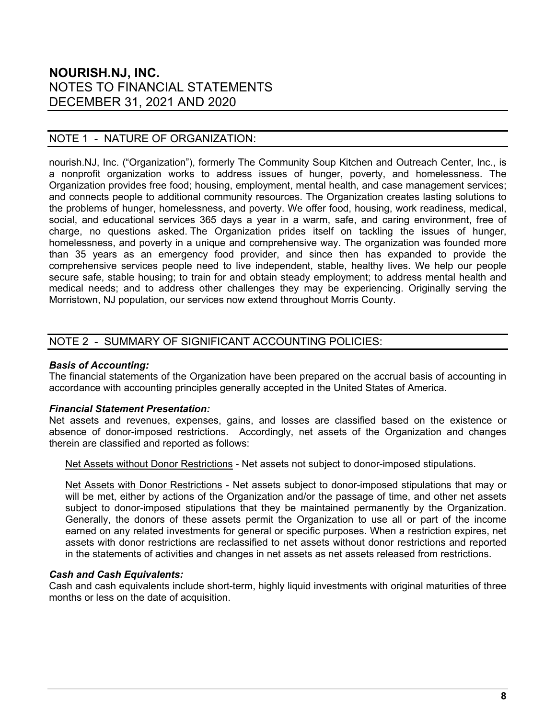# NOTE 1 - NATURE OF ORGANIZATION:

nourish.NJ, Inc. ("Organization"), formerly The Community Soup Kitchen and Outreach Center, Inc., is a nonprofit organization works to address issues of hunger, poverty, and homelessness. The Organization provides free food; housing, employment, mental health, and case management services; and connects people to additional community resources. The Organization creates lasting solutions to the problems of hunger, homelessness, and poverty. We offer food, housing, work readiness, medical, social, and educational services 365 days a year in a warm, safe, and caring environment, free of charge, no questions asked. The Organization prides itself on tackling the issues of hunger, homelessness, and poverty in a unique and comprehensive way. The organization was founded more than 35 years as an emergency food provider, and since then has expanded to provide the comprehensive services people need to live independent, stable, healthy lives. We help our people secure safe, stable housing; to train for and obtain steady employment; to address mental health and medical needs; and to address other challenges they may be experiencing. Originally serving the Morristown, NJ population, our services now extend throughout Morris County.

### NOTE 2 - SUMMARY OF SIGNIFICANT ACCOUNTING POLICIES:

### *Basis of Accounting:*

The financial statements of the Organization have been prepared on the accrual basis of accounting in accordance with accounting principles generally accepted in the United States of America.

### *Financial Statement Presentation:*

Net assets and revenues, expenses, gains, and losses are classified based on the existence or absence of donor-imposed restrictions. Accordingly, net assets of the Organization and changes therein are classified and reported as follows:

Net Assets without Donor Restrictions - Net assets not subject to donor-imposed stipulations.

Net Assets with Donor Restrictions - Net assets subject to donor-imposed stipulations that may or will be met, either by actions of the Organization and/or the passage of time, and other net assets subject to donor-imposed stipulations that they be maintained permanently by the Organization. Generally, the donors of these assets permit the Organization to use all or part of the income earned on any related investments for general or specific purposes. When a restriction expires, net assets with donor restrictions are reclassified to net assets without donor restrictions and reported in the statements of activities and changes in net assets as net assets released from restrictions.

#### *Cash and Cash Equivalents:*

Cash and cash equivalents include short-term, highly liquid investments with original maturities of three months or less on the date of acquisition.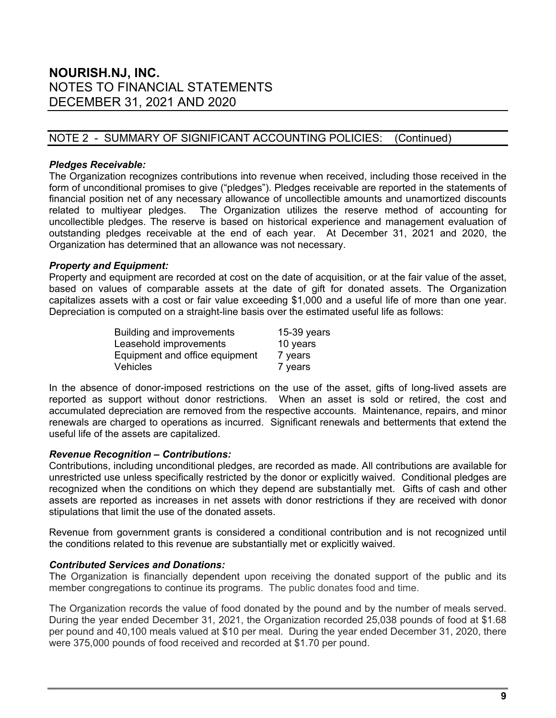# NOTE 2 - SUMMARY OF SIGNIFICANT ACCOUNTING POLICIES: (Continued)

### *Pledges Receivable:*

The Organization recognizes contributions into revenue when received, including those received in the form of unconditional promises to give ("pledges"). Pledges receivable are reported in the statements of financial position net of any necessary allowance of uncollectible amounts and unamortized discounts related to multiyear pledges. The Organization utilizes the reserve method of accounting for uncollectible pledges. The reserve is based on historical experience and management evaluation of outstanding pledges receivable at the end of each year. At December 31, 2021 and 2020, the Organization has determined that an allowance was not necessary.

### *Property and Equipment:*

Property and equipment are recorded at cost on the date of acquisition, or at the fair value of the asset, based on values of comparable assets at the date of gift for donated assets. The Organization capitalizes assets with a cost or fair value exceeding \$1,000 and a useful life of more than one year. Depreciation is computed on a straight-line basis over the estimated useful life as follows:

| <b>Building and improvements</b> | $15-39$ years |
|----------------------------------|---------------|
| Leasehold improvements           | 10 years      |
| Equipment and office equipment   | 7 years       |
| Vehicles                         | 7 years       |

In the absence of donor-imposed restrictions on the use of the asset, gifts of long-lived assets are reported as support without donor restrictions. When an asset is sold or retired, the cost and accumulated depreciation are removed from the respective accounts. Maintenance, repairs, and minor renewals are charged to operations as incurred. Significant renewals and betterments that extend the useful life of the assets are capitalized.

### *Revenue Recognition – Contributions:*

Contributions, including unconditional pledges, are recorded as made. All contributions are available for unrestricted use unless specifically restricted by the donor or explicitly waived. Conditional pledges are recognized when the conditions on which they depend are substantially met. Gifts of cash and other assets are reported as increases in net assets with donor restrictions if they are received with donor stipulations that limit the use of the donated assets.

Revenue from government grants is considered a conditional contribution and is not recognized until the conditions related to this revenue are substantially met or explicitly waived.

### *Contributed Services and Donations:*

The Organization is financially dependent upon receiving the donated support of the public and its member congregations to continue its programs. The public donates food and time.

The Organization records the value of food donated by the pound and by the number of meals served. During the year ended December 31, 2021, the Organization recorded 25,038 pounds of food at \$1.68 per pound and 40,100 meals valued at \$10 per meal. During the year ended December 31, 2020, there were 375,000 pounds of food received and recorded at \$1.70 per pound.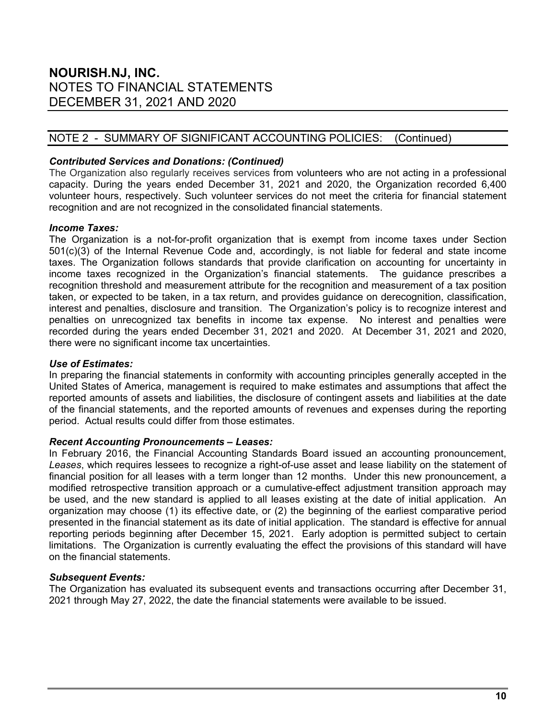# NOTE 2 - SUMMARY OF SIGNIFICANT ACCOUNTING POLICIES: (Continued)

### *Contributed Services and Donations: (Continued)*

The Organization also regularly receives services from volunteers who are not acting in a professional capacity. During the years ended December 31, 2021 and 2020, the Organization recorded 6,400 volunteer hours, respectively. Such volunteer services do not meet the criteria for financial statement recognition and are not recognized in the consolidated financial statements.

### *Income Taxes:*

The Organization is a not-for-profit organization that is exempt from income taxes under Section 501(c)(3) of the Internal Revenue Code and, accordingly, is not liable for federal and state income taxes. The Organization follows standards that provide clarification on accounting for uncertainty in income taxes recognized in the Organization's financial statements. The guidance prescribes a recognition threshold and measurement attribute for the recognition and measurement of a tax position taken, or expected to be taken, in a tax return, and provides guidance on derecognition, classification, interest and penalties, disclosure and transition. The Organization's policy is to recognize interest and penalties on unrecognized tax benefits in income tax expense. No interest and penalties were recorded during the years ended December 31, 2021 and 2020. At December 31, 2021 and 2020, there were no significant income tax uncertainties.

### *Use of Estimates:*

In preparing the financial statements in conformity with accounting principles generally accepted in the United States of America, management is required to make estimates and assumptions that affect the reported amounts of assets and liabilities, the disclosure of contingent assets and liabilities at the date of the financial statements, and the reported amounts of revenues and expenses during the reporting period. Actual results could differ from those estimates.

### *Recent Accounting Pronouncements – Leases:*

In February 2016, the Financial Accounting Standards Board issued an accounting pronouncement, *Leases*, which requires lessees to recognize a right-of-use asset and lease liability on the statement of financial position for all leases with a term longer than 12 months. Under this new pronouncement, a modified retrospective transition approach or a cumulative-effect adjustment transition approach may be used, and the new standard is applied to all leases existing at the date of initial application. An organization may choose (1) its effective date, or (2) the beginning of the earliest comparative period presented in the financial statement as its date of initial application. The standard is effective for annual reporting periods beginning after December 15, 2021. Early adoption is permitted subject to certain limitations. The Organization is currently evaluating the effect the provisions of this standard will have on the financial statements.

### *Subsequent Events:*

The Organization has evaluated its subsequent events and transactions occurring after December 31, 2021 through May 27, 2022, the date the financial statements were available to be issued.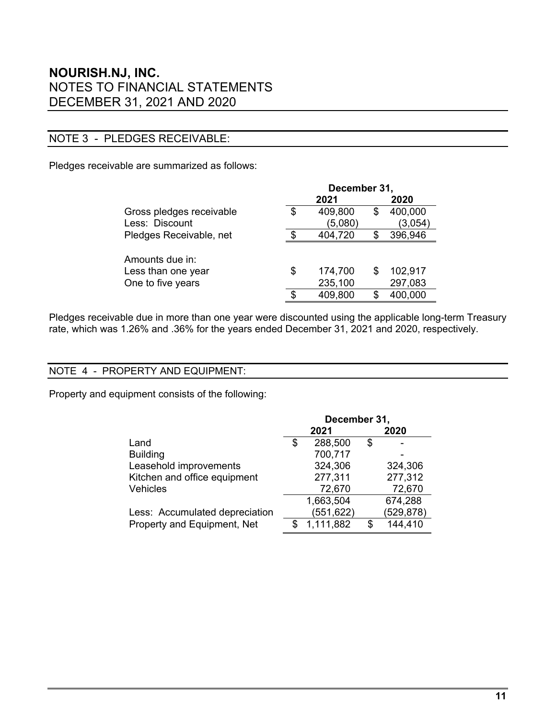# NOTE 3 - PLEDGES RECEIVABLE:

Pledges receivable are summarized as follows:

|                                       | December 31, |         |   |         |  |
|---------------------------------------|--------------|---------|---|---------|--|
|                                       |              | 2021    |   | 2020    |  |
| Gross pledges receivable              | \$           | 409,800 | S | 400,000 |  |
| Less: Discount                        |              | (5,080) |   | (3,054) |  |
| Pledges Receivable, net               | S            | 404,720 |   | 396,946 |  |
| Amounts due in:<br>Less than one year | \$           | 174,700 | S | 102,917 |  |
|                                       |              |         |   |         |  |
| One to five years                     |              | 235,100 |   | 297,083 |  |
|                                       | \$           | 409,800 | S | 400,000 |  |

Pledges receivable due in more than one year were discounted using the applicable long-term Treasury rate, which was 1.26% and .36% for the years ended December 31, 2021 and 2020, respectively.

### NOTE 4 - PROPERTY AND EQUIPMENT:

Property and equipment consists of the following:

|                                | December 31, |            |    |            |  |  |
|--------------------------------|--------------|------------|----|------------|--|--|
|                                | 2020<br>2021 |            |    |            |  |  |
| Land                           | S            | 288,500    | \$ |            |  |  |
| <b>Building</b>                |              | 700,717    |    |            |  |  |
| Leasehold improvements         |              | 324,306    |    | 324,306    |  |  |
| Kitchen and office equipment   |              | 277,311    |    | 277,312    |  |  |
| Vehicles                       |              | 72,670     |    | 72,670     |  |  |
|                                |              | 1,663,504  |    | 674,288    |  |  |
| Less: Accumulated depreciation |              | (551, 622) |    | (529, 878) |  |  |
| Property and Equipment, Net    | \$           | 1,111,882  | S  | 144,410    |  |  |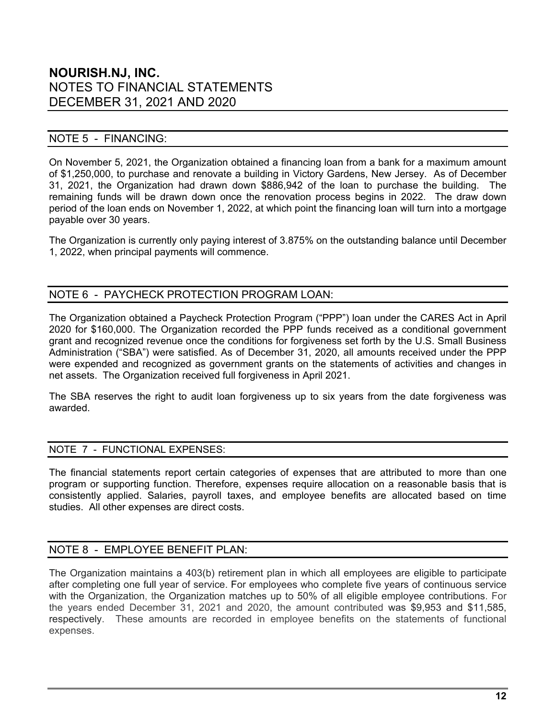### NOTE 5 - FINANCING:

On November 5, 2021, the Organization obtained a financing loan from a bank for a maximum amount of \$1,250,000, to purchase and renovate a building in Victory Gardens, New Jersey. As of December 31, 2021, the Organization had drawn down \$886,942 of the loan to purchase the building. The remaining funds will be drawn down once the renovation process begins in 2022. The draw down period of the loan ends on November 1, 2022, at which point the financing loan will turn into a mortgage payable over 30 years.

The Organization is currently only paying interest of 3.875% on the outstanding balance until December 1, 2022, when principal payments will commence.

### NOTE 6 - PAYCHECK PROTECTION PROGRAM LOAN:

The Organization obtained a Paycheck Protection Program ("PPP") loan under the CARES Act in April 2020 for \$160,000. The Organization recorded the PPP funds received as a conditional government grant and recognized revenue once the conditions for forgiveness set forth by the U.S. Small Business Administration ("SBA") were satisfied. As of December 31, 2020, all amounts received under the PPP were expended and recognized as government grants on the statements of activities and changes in net assets. The Organization received full forgiveness in April 2021.

The SBA reserves the right to audit loan forgiveness up to six years from the date forgiveness was awarded.

### NOTE 7 - FUNCTIONAL EXPENSES:

The financial statements report certain categories of expenses that are attributed to more than one program or supporting function. Therefore, expenses require allocation on a reasonable basis that is consistently applied. Salaries, payroll taxes, and employee benefits are allocated based on time studies. All other expenses are direct costs.

### NOTE 8 - EMPLOYEE BENEFIT PLAN:

The Organization maintains a 403(b) retirement plan in which all employees are eligible to participate after completing one full year of service. For employees who complete five years of continuous service with the Organization, the Organization matches up to 50% of all eligible employee contributions. For the years ended December 31, 2021 and 2020, the amount contributed was \$9,953 and \$11,585, respectively. These amounts are recorded in employee benefits on the statements of functional expenses.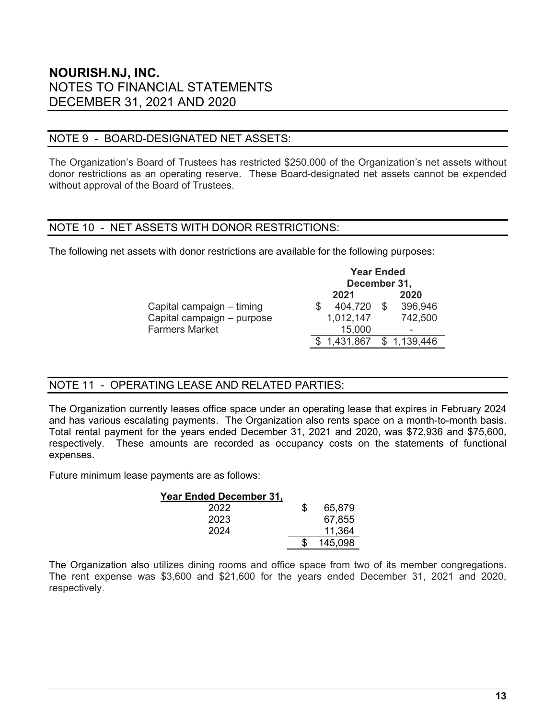# NOTE 9 - BOARD-DESIGNATED NET ASSETS:

The Organization's Board of Trustees has restricted \$250,000 of the Organization's net assets without donor restrictions as an operating reserve. These Board-designated net assets cannot be expended without approval of the Board of Trustees.

### NOTE 10 - NET ASSETS WITH DONOR RESTRICTIONS:

The following net assets with donor restrictions are available for the following purposes:

|                            | <b>Year Ended</b><br>December 31, |           |  |  |  |
|----------------------------|-----------------------------------|-----------|--|--|--|
|                            | 2021                              | 2020      |  |  |  |
| Capital campaign – timing  | 404,720                           | 396,946   |  |  |  |
| Capital campaign - purpose | 1,012,147                         | 742,500   |  |  |  |
| <b>Farmers Market</b>      | 15,000                            | -         |  |  |  |
|                            | 1,431,867                         | 1,139,446 |  |  |  |

### NOTE 11 - OPERATING LEASE AND RELATED PARTIES:

The Organization currently leases office space under an operating lease that expires in February 2024 and has various escalating payments. The Organization also rents space on a month-to-month basis. Total rental payment for the years ended December 31, 2021 and 2020, was \$72,936 and \$75,600, respectively. These amounts are recorded as occupancy costs on the statements of functional expenses.

Future minimum lease payments are as follows:

| Year Ended December 31, |     |         |
|-------------------------|-----|---------|
| 2022                    | \$. | 65,879  |
| 2023                    |     | 67,855  |
| 2024                    |     | 11,364  |
|                         |     | 145,098 |

The Organization also utilizes dining rooms and office space from two of its member congregations. The rent expense was \$3,600 and \$21,600 for the years ended December 31, 2021 and 2020, respectively.